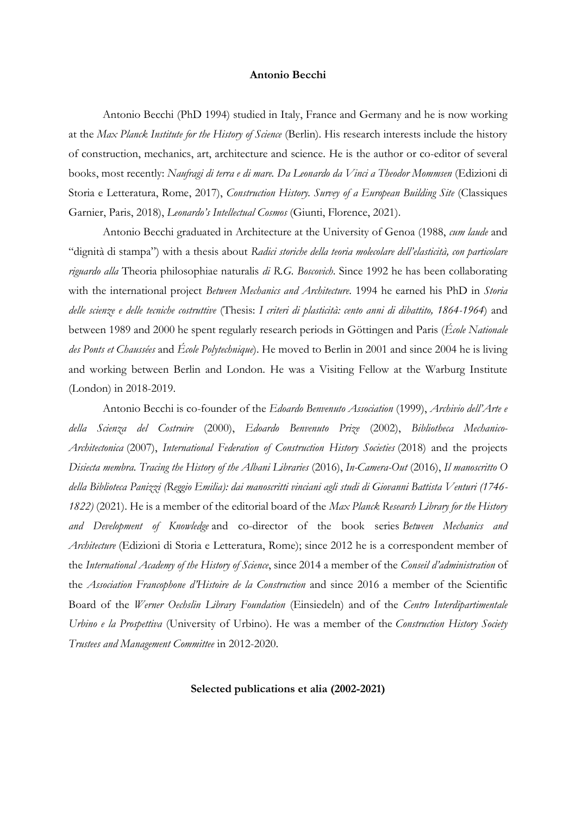### **Antonio Becchi**

Antonio Becchi (PhD 1994) studied in Italy, France and Germany and he is now working at the *Max Planck Institute for the History of Science* (Berlin). His research interests include the history of construction, mechanics, art, architecture and science. He is the author or co-editor of several books, most recently: *Naufragi di terra e di mare. Da Leonardo da Vinci a Theodor Mommsen* (Edizioni di Storia e Letteratura, Rome, 2017), *Construction History. Survey of a European Building Site* (Classiques Garnier, Paris, 2018), *Leonardo's Intellectual Cosmos* (Giunti, Florence, 2021).

Antonio Becchi graduated in Architecture at the University of Genoa (1988, *cum laude* and "dignità di stampa") with a thesis about *Radici storiche della teoria molecolare dell'elasticità, con particolare riguardo alla* Theoria philosophiae naturalis *di R.G. Boscovich*. Since 1992 he has been collaborating with the international project *Between Mechanics and Architecture*. 1994 he earned his PhD in *Storia delle scienze e delle tecniche costruttive* (Thesis: *I criteri di plasticità: cento anni di dibattito, 1864-1964*) and between 1989 and 2000 he spent regularly research periods in Göttingen and Paris (*École Nationale des Ponts et Chaussées* and *École Polytechnique*). He moved to Berlin in 2001 and since 2004 he is living and working between Berlin and London. He was a Visiting Fellow at the Warburg Institute (London) in 2018-2019.

Antonio Becchi is co-founder of the *Edoardo Benvenuto Association* (1999), *Archivio dell'Arte e della Scienza del Costruire* (2000), *Edoardo Benvenuto Prize* (2002), *Bibliotheca Mechanico-Architectonica* (2007), *International Federation of Construction History Societies* (2018) and the projects *Disiecta membra. Tracing the History of the Albani Libraries* (2016), *In-Camera-Out* (2016), *Il manoscritto O della Biblioteca Panizzi (Reggio Emilia): dai manoscritti vinciani agli studi di Giovanni Battista Venturi (1746- 1822)* (2021). He is a member of the editorial board of the *Max Planck Research Library for the History and Development of Knowledge* and co-director of the book series *Between Mechanics and Architecture* (Edizioni di Storia e Letteratura, Rome); since 2012 he is a correspondent member of the *International Academy of the History of Science*, since 2014 a member of the *Conseil d'administration* of the *Association Francophone d'Histoire de la Construction* and since 2016 a member of the Scientific Board of the *Werner Oechslin Library Foundation* (Einsiedeln) and of the *Centro Interdipartimentale Urbino e la Prospettiva* (University of Urbino). He was a member of the *Construction History Society Trustees and Management Committee* in 2012-2020.

**Selected publications et alia (2002-2021)**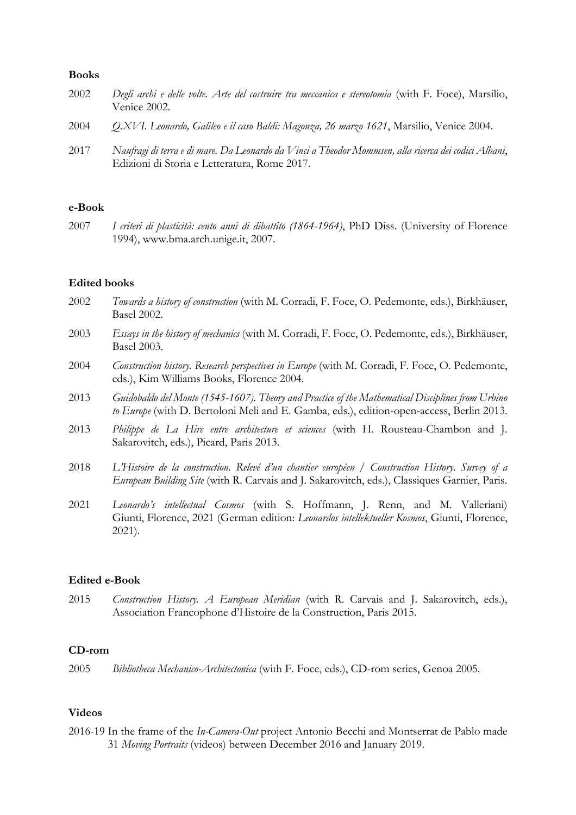### **Books**

| 2002 | Degli archi e delle volte. Arte del costruire tra meccanica e stereotomia (with F. Foce), Marsilio,<br>Venice 2002.                                  |
|------|------------------------------------------------------------------------------------------------------------------------------------------------------|
| 2004 | O.XVI. Leonardo, Galileo e il caso Baldi: Magonza, 26 marzo 1621, Marsilio, Venice 2004.                                                             |
| 2017 | Naufragi di terra e di mare. Da Leonardo da Vinci a Theodor Mommsen, alla ricerca dei codici Albani,<br>Edizioni di Storia e Letteratura, Rome 2017. |

# **e-Book**

2007 *I criteri di plasticità: cento anni di dibattito (1864-1964)*, PhD Diss. (University of Florence 1994), www.bma.arch.unige.it, 2007.

### **Edited books**

- 2002 *Towards a history of construction* (with M. Corradi, F. Foce, O. Pedemonte, eds.), Birkhäuser, Basel 2002.
- 2003 *Essays in the history of mechanics* (with M. Corradi, F. Foce, O. Pedemonte, eds.), Birkhäuser, Basel 2003.
- 2004 Construction history. Research perspectives in Europe (with M. Corradi, F. Foce, O. Pedemonte, eds.), Kim Williams Books, Florence 2004.
- 2013 *Guidobaldo del Monte (1545-1607). Theory and Practice of the Mathematical Disciplines from Urbino to Europe* (with D. Bertoloni Meli and E. Gamba, eds.), edition-open-access, Berlin 2013.
- 2013 *Philippe de La Hire entre architecture et sciences* (with H. Rousteau-Chambon and J. Sakarovitch, eds.), Picard, Paris 2013.
- 2018 *L'Histoire de la construction. Relevé d'un chantier européen / Construction History. Survey of a European Building Site* (with R. Carvais and J. Sakarovitch, eds.), Classiques Garnier, Paris.
- 2021 *Leonardo's intellectual Cosmos* (with S. Hoffmann, J. Renn, and M. Valleriani) Giunti, Florence, 2021 (German edition: *Leonardos intellektueller Kosmos*, Giunti, Florence, 2021).

#### **Edited e-Book**

2015 *Construction History. A European Meridian* (with R. Carvais and J. Sakarovitch, eds.), Association Francophone d'Histoire de la Construction, Paris 2015.

# **CD-rom**

2005 *Bibliotheca Mechanico-Architectonica* (with F. Foce, eds.), CD-rom series, Genoa 2005.

## **Videos**

2016-19 In the frame of the *In-Camera-Out* project Antonio Becchi and Montserrat de Pablo made 31 *Moving Portraits* (videos) between December 2016 and January 2019.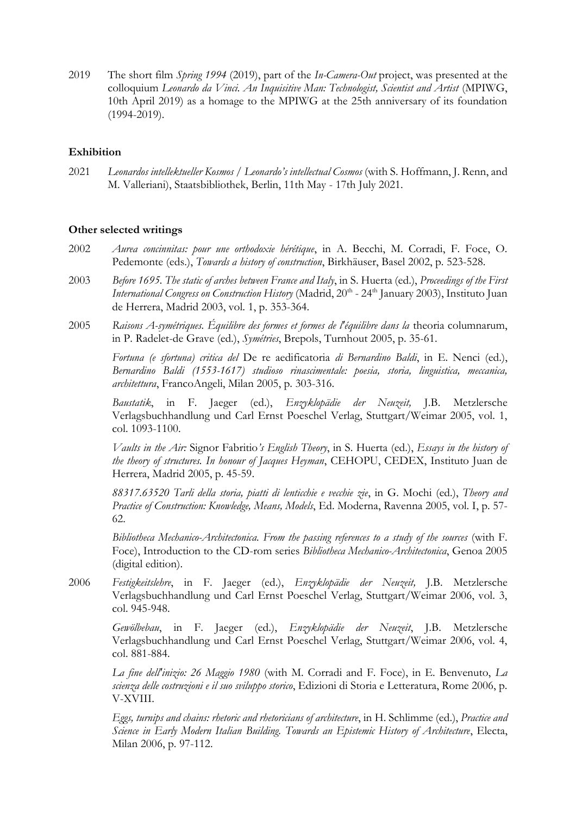2019 The short film *Spring 1994* (2019), part of the *In-Camera-Out* project, was presented at the colloquium *Leonardo da Vinci. An Inquisitive Man: Technologist, Scientist and Artist* (MPIWG, 10th April 2019) as a homage to the MPIWG at the 25th anniversary of its foundation (1994-2019).

# **Exhibition**

2021 *Leonardos intellektueller Kosmos* / *Leonardo's intellectual Cosmos* (with S. Hoffmann, J. Renn, and M. Valleriani), Staatsbibliothek, Berlin, 11th May - 17th July 2021.

## **Other selected writings**

- 2002 *Aurea concinnitas: pour une orthodoxie hérétique*, in A. Becchi, M. Corradi, F. Foce, O. Pedemonte (eds.), *Towards a history of construction*, Birkhäuser, Basel 2002, p. 523-528.
- 2003 *Before 1695. The static of arches between France and Italy*, in S. Huerta (ed.), *Proceedings of the First International Congress on Construction History* (Madrid, 20<sup>th</sup> - 24<sup>th</sup> January 2003), Instituto Juan de Herrera, Madrid 2003, vol. 1, p. 353-364.
- 2005 *Raisons A-symétriques. Équilibre des formes et formes de l'équilibre dans la* theoria columnarum, in P. Radelet-de Grave (ed.), *Symétries*, Brepols, Turnhout 2005, p. 35-61.

*Fortuna (e sfortuna) critica del* De re aedificatoria *di Bernardino Baldi*, in E. Nenci (ed.), *Bernardino Baldi (1553-1617) studioso rinascimentale: poesia, storia, linguistica, meccanica, architettura*, FrancoAngeli, Milan 2005, p. 303-316.

*Baustatik*, in F. Jaeger (ed.), *Enzyklopädie der Neuzeit,* J.B. Metzlersche Verlagsbuchhandlung und Carl Ernst Poeschel Verlag, Stuttgart/Weimar 2005, vol. 1, col. 1093-1100.

*Vaults in the Air:* Signor Fabritio*'s English Theory*, in S. Huerta (ed.), *Essays in the history of the theory of structures. In honour of Jacques Heyman*, CEHOPU, CEDEX, Instituto Juan de Herrera, Madrid 2005, p. 45-59.

*88317.63520 Tarli della storia, piatti di lenticchie e vecchie zie*, in G. Mochi (ed.), *Theory and Practice of Construction: Knowledge, Means, Models*, Ed. Moderna, Ravenna 2005, vol. I, p. 57- 62.

*Bibliotheca Mechanico-Architectonica. From the passing references to a study of the sources* (with F. Foce), Introduction to the CD-rom series *Bibliotheca Mechanico-Architectonica*, Genoa 2005 (digital edition).

2006 *Festigkeitslehre*, in F. Jaeger (ed.), *Enzyklopädie der Neuzeit,* J.B. Metzlersche Verlagsbuchhandlung und Carl Ernst Poeschel Verlag, Stuttgart/Weimar 2006, vol. 3, col. 945-948.

*Gewölbebau*, in F. Jaeger (ed.), *Enzyklopädie der Neuzeit*, J.B. Metzlersche Verlagsbuchhandlung und Carl Ernst Poeschel Verlag, Stuttgart/Weimar 2006, vol. 4, col. 881-884.

*La fine dell'inizio: 26 Maggio 1980* (with M. Corradi and F. Foce), in E. Benvenuto, *La scienza delle costruzioni e il suo sviluppo storico*, Edizioni di Storia e Letteratura, Rome 2006, p. V-XVIII.

*Eggs, turnips and chains: rhetoric and rhetoricians of architecture*, in H. Schlimme (ed.), *Practice and Science in Early Modern Italian Building. Towards an Epistemic History of Architecture*, Electa, Milan 2006, p. 97-112.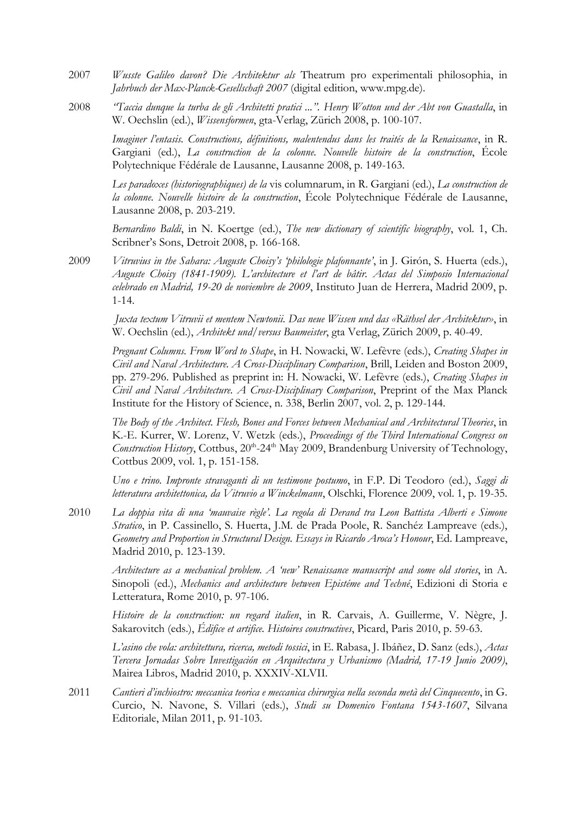- 2007 *Wusste Galileo davon? Die Architektur als* Theatrum pro experimentali philosophia, in *Jahrbuch der Max-Planck-Gesellschaft 2007* (digital edition, www.mpg.de).
- 2008 *"Taccia dunque la turba de gli Architetti pratici ...". Henry Wotton und der Abt von Guastalla*, in W. Oechslin (ed.), *Wissensformen*, gta-Verlag, Zürich 2008, p. 100-107.

*Imaginer l'entasis. Constructions, définitions, malentendus dans les traités de la Renaissance*, in R. Gargiani (ed.), *La construction de la colonne. Nouvelle histoire de la construction*, École Polytechnique Fédérale de Lausanne, Lausanne 2008, p. 149-163.

*Les paradoxes (historiographiques) de la* vis columnarum, in R. Gargiani (ed.), *La construction de la colonne. Nouvelle histoire de la construction*, École Polytechnique Fédérale de Lausanne, Lausanne 2008, p. 203-219.

*Bernardino Baldi*, in N. Koertge (ed.), *The new dictionary of scientific biography*, vol. 1, Ch. Scribner's Sons, Detroit 2008, p. 166-168.

2009 *Vitruvius in the Sahara: Auguste Choisy's 'philologie plafonnante'*, in J. Girón, S. Huerta (eds.), *Auguste Choisy (1841-1909). L'architecture et l'art de bâtir. Actas del Simposio Internacional celebrado en Madrid, 19-20 de noviembre de 2009*, Instituto Juan de Herrera, Madrid 2009, p. 1-14.

*Juxta textum Vitruvii et mentem Newtonii. Das neue Wissen und das «Räthsel der Architektur»*, in W. Oechslin (ed.), *Architekt und/versus Baumeister*, gta Verlag, Zürich 2009, p. 40-49.

*Pregnant Columns. From Word to Shape*, in H. Nowacki, W. Lefèvre (eds.), *Creating Shapes in Civil and Naval Architecture. A Cross-Disciplinary Comparison*, Brill, Leiden and Boston 2009, pp. 279-296. Published as preprint in: H. Nowacki, W. Lefèvre (eds.), *Creating Shapes in Civil and Naval Architecture. A Cross-Disciplinary Comparison*, Preprint of the Max Planck Institute for the History of Science, n. 338, Berlin 2007, vol. 2, p. 129-144.

*The Body of the Architect. Flesh, Bones and Forces between Mechanical and Architectural Theories*, in K.-E. Kurrer, W. Lorenz, V. Wetzk (eds.), *Proceedings of the Third International Congress on*  Construction History, Cottbus, 20<sup>th</sup>-24<sup>th</sup> May 2009, Brandenburg University of Technology, Cottbus 2009, vol. 1, p. 151-158.

*Uno e trino. Impronte stravaganti di un testimone postumo*, in F.P. Di Teodoro (ed.), *Saggi di letteratura architettonica, da Vitruvio a Winckelmann*, Olschki, Florence 2009, vol. 1, p. 19-35.

2010 *La doppia vita di una 'mauvaise règle'. La regola di Derand tra Leon Battista Alberti e Simone Stratico*, in P. Cassinello, S. Huerta, J.M. de Prada Poole, R. Sanchéz Lampreave (eds.), *Geometry and Proportion in Structural Design. Essays in Ricardo Aroca's Honour*, Ed. Lampreave, Madrid 2010, p. 123-139.

*Architecture as a mechanical problem. A 'new' Renaissance manuscript and some old stories*, in A. Sinopoli (ed.), *Mechanics and architecture between Epistéme and Techné*, Edizioni di Storia e Letteratura, Rome 2010, p. 97-106.

*Histoire de la construction: un regard italien*, in R. Carvais, A. Guillerme, V. Nègre, J. Sakarovitch (eds.), *Édifice et artifice. Histoires constructives*, Picard, Paris 2010, p. 59-63.

*L'asino che vola: architettura, ricerca, metodi tossici*, in E. Rabasa, J. Ibáñez, D. Sanz (eds.), *Actas Tercera Jornadas Sobre Investigación en Arquitectura y Urbanismo (Madrid, 17-19 Junio 2009)*, Mairea Libros, Madrid 2010, p. XXXIV-XLVII.

2011 *Cantieri d'inchiostro: meccanica teorica e meccanica chirurgica nella seconda metà del Cinquecento*, in G. Curcio, N. Navone, S. Villari (eds.), *Studi su Domenico Fontana 1543-1607*, Silvana Editoriale, Milan 2011, p. 91-103.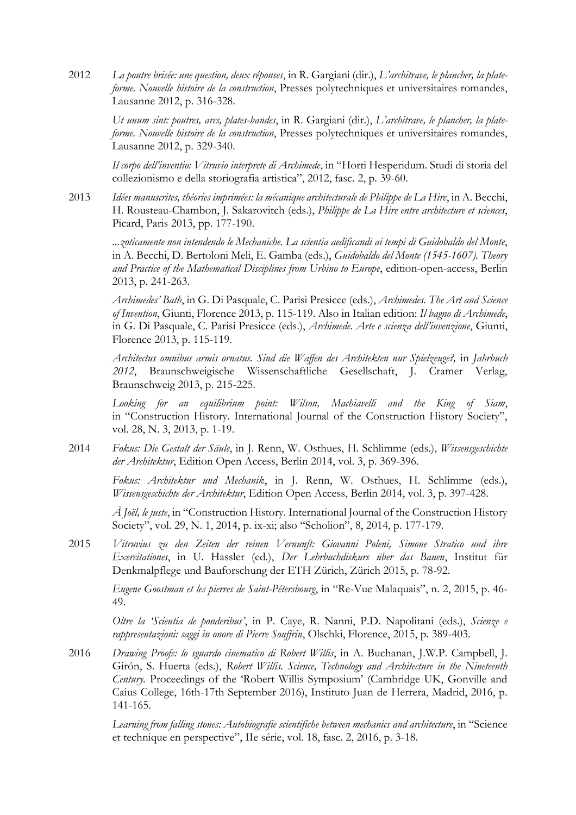2012 *La poutre brisée: une question, deux réponses*, in R. Gargiani (dir.), *L'architrave, le plancher, la plateforme. Nouvelle histoire de la construction*, Presses polytechniques et universitaires romandes, Lausanne 2012, p. 316-328.

*Ut unum sint: poutres, arcs, plates-bandes*, in R. Gargiani (dir.), *L'architrave, le plancher, la plateforme. Nouvelle histoire de la construction*, Presses polytechniques et universitaires romandes, Lausanne 2012, p. 329-340.

*Il corpo dell'inventio: Vitruvio interprete di Archimede*, in "Horti Hesperidum. Studi di storia del collezionismo e della storiografia artistica", 2012, fasc. 2, p. 39-60.

2013 *Idées manuscrites, théories imprimées: la mécanique architecturale de Philippe de La Hire*, in A. Becchi, H. Rousteau-Chambon, J. Sakarovitch (eds.), *Philippe de La Hire entre architecture et sciences*, Picard, Paris 2013, pp. 177-190.

*...zoticamente non intendendo le Mechaniche. La scientia aedificandi ai tempi di Guidobaldo del Monte*, in A. Becchi, D. Bertoloni Meli, E. Gamba (eds.), *Guidobaldo del Monte (1545-1607). Theory*  and Practice of the Mathematical Disciplines from Urbino to Europe, edition-open-access, Berlin 2013, p. 241-263.

*Archimedes' Bath*, in G. Di Pasquale, C. Parisi Presicce (eds.), *Archimedes. The Art and Science of Invention*, Giunti, Florence 2013, p. 115-119. Also in Italian edition: *Il bagno di Archimede*, in G. Di Pasquale, C. Parisi Presicce (eds.), *Archimede. Arte e scienza dell'invenzione*, Giunti, Florence 2013, p. 115-119.

*Architectus omnibus armis ornatus. Sind die Waffen des Architekten nur Spielzeuge?,* in *Jahrbuch 2012*, Braunschweigische Wissenschaftliche Gesellschaft, J. Cramer Verlag, Braunschweig 2013, p. 215-225.

*Looking for an equilibrium point: Wilson, Machiavelli and the King of Siam*, in "Construction History. International Journal of the Construction History Society", vol. 28, N. 3, 2013, p. 1-19.

2014 *Fokus: Die Gestalt der Säule*, in J. Renn, W. Osthues, H. Schlimme (eds.), *Wissensgeschichte der Architektur*, Edition Open Access, Berlin 2014, vol. 3, p. 369-396.

*Fokus: Architektur und Mechanik*, in J. Renn, W. Osthues, H. Schlimme (eds.), *Wissensgeschichte der Architektur*, Edition Open Access, Berlin 2014, vol. 3, p. 397-428.

*À Joël, le juste*, in "Construction History. International Journal of the Construction History Society", vol. 29, N. 1, 2014, p. ix-xi; also "Scholion", 8, 2014, p. 177-179.

2015 *Vitruvius zu den Zeiten der reinen Vernunft: Giovanni Poleni, Simone Stratico und ihre Exercitationes*, in U. Hassler (ed.), *Der Lehrbuchdiskurs über das Bauen*, Institut für Denkmalpflege und Bauforschung der ETH Zürich, Zürich 2015, p. 78-92.

*Eugene Goostman et les pierres de Saint-Pétersbourg*, in "Re-Vue Malaquais", n. 2, 2015, p. 46- 49.

*Oltre la 'Scientia de ponderibus'*, in P. Caye, R. Nanni, P.D. Napolitani (eds.), *Scienze e rappresentazioni: saggi in onore di Pierre Souffrin*, Olschki, Florence, 2015, p. 389-403.

2016 *Drawing Proofs: lo sguardo cinematico di Robert Willis*, in A. Buchanan, J.W.P. Campbell, J. Girón, S. Huerta (eds.), *Robert Willis. Science, Technology and Architecture in the Nineteenth Century.* Proceedings of the 'Robert Willis Symposium' (Cambridge UK, Gonville and Caius College, 16th-17th September 2016), Instituto Juan de Herrera, Madrid, 2016, p. 141-165.

Learning from falling stones: Autobiografie scientifiche between mechanics and architecture, in "Science et technique en perspective", IIe série, vol. 18, fasc. 2, 2016, p. 3-18.